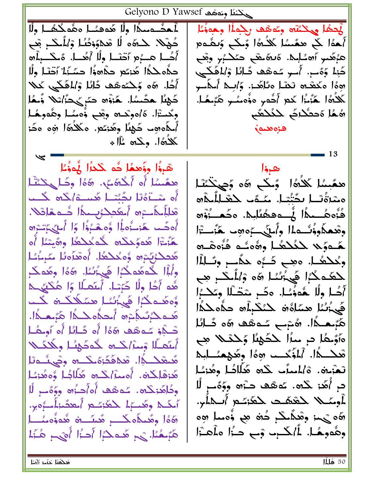Gelyono D Yawsef مَعْمَد بِهِ الله أَحدُّےمبدُّا ولًا هُدِهْـا وَهُوكُطُّـا ولًا ۖ لْمَعْمَلِ مِكْنُتُهِ وَعَاهُمْ رَجْحِلًا وَحِوَدُنَا أَهْمَا كُمْ هِمُسُلْ كَلاُهُا وُكُمْ وَتَقْدَمَ حُهْلا. حدهُه لُّا مْحَاوُوْطُا وْالْمُحْمِ بْعَى أُحُــا هــرُم أَحْنَــا ولًا أَهُـــا. هُـكْــرِلُم هِ مَنْ مَسْتَقْدِر مَنْ مَسْتَجْدِ مَسْتَجْرِ وَبِعْدِ حِمْْهِ حِكْمًا هَٰٓئِمَ حِكْمَهُۥ حَسَّنًا ٱخْسَا وِلًا كَزِلْمْ وُهُــرٍ. أُسو سُـهڤف شَائلْ وْالمْفَكّــي أَحُل هَ وَحْدَ هُد دَّلْا وَالمَكَي حَلا وِهُا مَكْتُده تَعْلَا مَلَاهُـ: وَٱلِـدَ أَمَدَّــرِ لْحَدُّهُا هَٰٓئُمْا كَم أَحُم وَوُّومُبِ هَٰٓئِهُا. كَهْنًا هَشَسًا. هَٰزْوُه حَبِّىحَتَّاسًا وَّعْمًا وكَنْتَرَا. ەُ/ەوتْنە وقِي ۋەسُل وھُەوھُل ھُمُّا ەَحثَّدىمَ خىُلگىم أَحِدُّوهِ وَحَيْرًا وَهُوَى وَحَدَثُوا وَهُوَ وَحَدَّ فزمعمة كلاُهُ!. وكَدَه عْلَا \* 13 هْرِذًا وِذَهِمًا خُم كَحِرًا لِمُوذَلِ ھروا همَّسُا أَه أَحْدَهَـبَ. هَهُ! وَحَالِيكَنْتَـا همَّىسًا كَلاَهُ! وَجَدَ هُء وَجِيتَكُمُا أَه سْتَرْهُنَا بِدَّسْدَا هُسْـةَ/جُمْ كُــب ممْرَةُنْــا بِحُبُّنْـا. مَيْمُبْ جَعْبَالْمَاهُ هْلِلُمُسْرَهِ ٱمْعَصِلْوُبِسِمَا خُسْمَاصًلًا. فُزُومُـــمأَلِمُـــومِمُنُلْبِــدِ. وكَـعَـــزُوْرَه أُوكَبِ هَٰٓزَٰٓدَٰٓءَلَٰٓا وُوَهْـُرُوَٰٓا وَا أَسْرَحِيٓدَ مِنْ وَ وهمكاووُنُــملا وأَملَىٰـــرَه وما هُزُــــتْزا هَّزْشْلْ هُدَوَحْكُلُه گُدْعُكُمْلْ وَهَٰيِسْلُ أَن مَـٰوَى للنَّلْفُـا وِرُّوشُـٰه فُزُّوهُـٰ هُعِلْمُ بَمْرُه وُهِ دُلْعُدًا. أُهْمَدُه مُلَّا مَدِينُهُ لَ وحُكْمُـا. ەھب كَــرُه حكَمــر وتَــالمُا واُبْلَا جُدِمَدِيْدَا هَيْرُسُل 166 ومَدِيْدِ لِحْقَدِكُمُ الْمَهْرَمُونَ الْمَدْرِ هِيَّ هُو أَحُا ولًا حَبْسًا. أَسَّصَلَا وَا هُكْتِي ِهِ أَكْر ولًا هُوزُمُا. وكَبِ مْتَصْلًا وكَكْرًا وُەمَدەڭرا فَيْ ُنُسْا مىسْلَانْدە كْ فَي ْنُنْا هِمَاةٌ ۞ حَنْكَرِٱ هِ هُوَ حَكْمًا هُدهِ دُرُسُجُةِ ٥ أَحِدُهِ دَـدُا هَرُهِ دَا. هَبُعِيدًا. هُـْبِ سُـهِـتَه هُه مُـائا تْــٰٓهِوْ سُـٰٓدَهُفَ وَأَهُمْ أَن شَـٰلِنُا أَن أَوْحِكُـا وَأَوْجَعًا مِنْ حَمْلًا لِمَحْمَلًا وَحَكَمًا مِنْ أَعْكَا وْمِبْرَاكُ ۞ كُوصُوْمُ وِيَكْحُلَا قْعَلْـــدًا. ٱلمُؤَكَّـــب 10% وهُجْعَنْـــابِي مُعْطَـــٰمُ!. مْحَافَخَزَهُ حْـــه وضْحَــُــهَ لَــٰ تْعْزَمِنْ. وْالْمِيرَّبِ جْدْرِهِ هَٰكُلاَجًا وِهُدِيْـا هُزقْلِكُة. أُوسْرُاكْلُه هَٰلَلاجُا وُوهُزِسُا دِم أُهَٰذِ جُدْهِ. مُوهَٰفٍ حَـٰٓزَهِ وِوَّةَمِ لَٰلَّا وحُاهَٰذِكُ۞. عَـٰدهُڡْ أَه أُصَرُ۞ ووَهُـــر لُّا أوسًى الحفقَت لمعَنِّص أَسْمَلُرٍ. ٱمكَّـٰهِ وهُمــَمۡطُ لَحَقَّةِـَـٰـَـٰمِ ٱلْعَجَّـٰةَ أَـــَّزُهِ بِـرَ هُه یُ وَقَدَّمَكُمْ دُهُ هِي وُهِما هِهِ هَٰهُا وِمُعِلَّاهِ كَــــرٍ مُّعَنِّـــةِ مُّدوُّوعُــــا وهُومِهُـا. أَأَكْـرِب وْبِ حِـزًا وَأَهـْزَا هَيْهُمْا. يَ هَده ذا أَحِزًا أَصْرِ هُذَا

هَكْفُلُ حَرَّبِ ٱلْأَيَا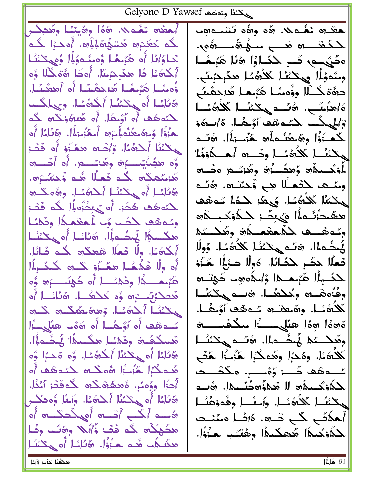Gelyono D Yawsef مَحْمَد بِهِ الله أعفَره تعُملا. 26% وهُيئِما ومُعِلَّم ـهقــه تمعُــه له، وَهُ مَ سُــوهِــهِ ىگە كەكترە كىتىگە جاپارە. أەجار گ لْمُكَعْسَدِهِ مْسَبِ سَنُمِيَّةُ سَدَّةُهِ. تَعَاوَٰانُا أَه هَٰٓبُـِهُـا وُٓهِـنُـوٰذُا وُمِيكَـٰئُـا ەكَرْكَىم كَمْ حْكَمَاوُا ھُلَّا هَزْمَهْمَا أَكْدَّهُ مُلْ مَدَّجِدٌ مِنَّا. أُوحًا رَوُّة ݣَالْ وُو وِمْدَوْلَمَا وِيَكْتُدَا كَلَاهُمَا هَذَا حَدَّاتِ. وْْوِسُا هَٰٓبَهُا هُرَجِعَيْنَا أَو أَهٰهُنَا. دةُةكُلَّا وفُوسُا هُبُعا هُدَهْمٌ هَنَاسًا أَه حِكْسُا أَحْدُثُ أَسْتَمَرَّمَ النَّاسَةَ ەُكْتَمْكَـــ ، ھُنَـــە كَلْمُكْسَــا كَلَاھُمُــا لكتوشف أَو أوُجعًا. أَو هُنبوًونَكُبُو لَكُم وْالْمِحْمَدِ حَسَّمْعُهِ أَوْحَمَٰا. هَاسِعَةِ هَزُوَّا وَۦۿؘٮعُثُم}َتِ۞ ٱ؎ٚٞڹٛڹٲ۠ٳ؞۞ٮۢٳٵ؞ٵٛ كْمِبْزُا وهَيْمُشْدِيْهِ هُزُجِيْلًا. هُنَّت حِكْمُا أَحْدَهُمْا. وْاصْدَه هِمْنَوْ أَهْ فْشَا حكنُسًا كَلَدُّهُ ُسا وحْسِدِهِ أَحْسَدُوْذُ! وُّه هَجُبُنُهُمْ مَنْ وَهُنْهُمْ هُو. أَه أَحْسَنُهُ لْمُوَكَسِيةً وَمَعْشَيْتُ وَهُوَيَسُمْ وَهُدَاءَ وَ هُزْسَمِكُلُو کُنْ شَعْبًا هُنْ وْجِئْشُرُوه. وسُنك لِكَعْسُلًا هِبْ وْجِئْسُهِ. هُنَّكُ هَنْكُمْ أَوْ حِكْنُنَا أَحْدَّهُ سَا. وَهُوَحْدِهِ معدَّ الصَّد المن بنَّص الشَّكْرِ الشَّكْرِ لكَمْهُفْ هُدْ: أُو يُبِكُزُولُهِ لَكُمْ قَدْ: مشىماً أمْ بِصَٰدٍ لِلْمُؤْكَسِــدُه وسُوهُكَ لِلْحُبِ وُبِ الْمَعْلَمِيمُ أَرْقَلْهُمْ ا وئەشىك للەھشمىلەن وئىلىىئە مَكْسِمُ الْمُحْسَدِيةَ الْمُسْتَمَمِّ الْمُسْكَسَمَّةِ الْمُسْكَسَمَّةِ الْمُسْكَسَمَّةِ الْمُسْكَسَ لَمِحْـه الـْ هَكَـهِ حِكْسًا لَمَكْتُومًا . وَوِلًا أَحْدَّمُ". ولَّا تَعْلَلْ شَعْدَهِ حُدَّ تَابُلْ. تَـملَّا حَضَرِ حَدَّائًا. ۚ هُولًا صَرَٰٓءًا هَـٰٓءَ أَه ولَا فَكُمُا مِمَّزَو كُلُّهِ كُنَّبَهُ! للنُّبِلُمُ هَٰٓبُعِيمًا وُٱلمُوهِبِ كَهْشُدُهِ هَبُعِيدًا وَشَدْيَا أَوْ هُمْيَا وَوْو وفُزْهِ هُــده وكُــدهُــا. فوســم بِكْـنُبُــا مُعطَوُبُتِ و وَ مُعْطِفًا. وَانْكُلْ أَه كْلُوْمُــا. وەْھشە ئەھف أَوُمْصًا. يكشا أحدىك ومحتفظت تكري أَوْهَا هِمَّالِ الْمَسْرَةُ مِنْكُمْ مِنْ مِنْهُمْ مِنْ كَـــوهُـْ أَو أَوُّــصُــا أَو هَوَّتْ هِنَّا جُوَّا وهَكْسُمْ هُدْ وَالْمَدْ هُدَ الْمَسْمَعْ مِكْسُمْ الْمَدْ تَعْسَكُتُ وَهُدُمُ مَكْسَمًا يُحَدُّواً. هَٰلَٰكًا أَو حِكْنُكُمْ أَحْدُوكُمْ. وَو وَحِبْرًا وَو كَلَّهُمْا. وَمَحْدًا وَهُدِكْدًا هَّنْتُوا هَصْ هُدكُمْ هُنْدُ هُوَكْ مَدْهَدٌ وَهُ ئے هُد دُخَ وَةَ مِنْ مَكْتَـَـت أَدُّا ووَّەئر. ةُمحكَّدْهُكُلُّه كُوفْتْز أَعْدًا. لِلْمُوَمَّسِلَارَهِ لا شَدْؤُرُوحُنَّسِدَا. شَت ھَالْمَا أَه حِكْمُا أَحْدَّمُا. وَاللَّا وُهِ مَكْس حكْنُسًا كَلَادُهُ سُـا. وَٱسسُــا وِهُودُهُسًـا رةُ مسم أكَّس أصْلِهِ مَا أَيْ الْمَسْلَمِينَ مِنْ أَنَّ الْمَسْلَمَ مِنْ الْمَرْكَبَ آهگُکَے کُے ثَــُه. ةَائُــا مَنْسُـت مكَّدِيْكُمْ كُمْ فْشْزْ وَّٱلْلا وْهَنَّبْ وْشَا لِكُمْوَكِّدِهُا هُدِهِكْدِهُا وِهُتِّئِبِ هِـزُوًّا. محكَّم مَنْ النَّامْةِ الْمَوْالِينَ مِنْ الْمَحْمَدُ مَحْدُمًا حَبَّ أَآتَنَا  $\frac{1}{\sqrt{2}}$  فَالِمَا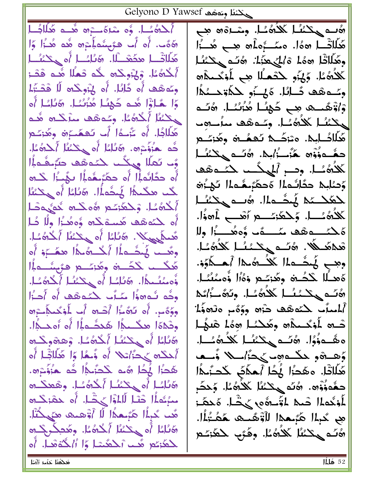Gelyono D Yawsef مَحْمَدُ وَمَحْمَدٍ أَكْتُمُنْـا. وُه سْرَهُـــْرْبَه هُـــه هَٰكَااجُــا رَّهُ فَ الْمَالِمُ الْمَلَامِ الْمُلَامِ مِنْ الْمَسْرَةِ مِنْ مَنْ الْمَسْرَةِ مِنْ مَنْ الْمَسْرَ وَهُمَا، أَو أَبْ هُجَبِينُهِ أَيْرَوهِ هُوَ هُدًا وَا هَٰلَاتَـْـا هوَا. مِمَّــرُوماُه هِـــو هُـــرَا مَكَلاَثْـــا مذَكَّـــاًا. هَـُلْـُـــا أَه حَكْـُــا وهَكْلَاتْنَا هَامْ دْيْمْكِيْدْ. هُنَّمْ يْكَنْتُنَا أَكْ3ُمًا. وْيْزُوِكْ3ْ كُمْ تْعَلَّا شَّە قْتْ: ݣَلْاهُمْا. وَلِزُو حَتَّصَلًّا هِي لَمْكُمْلُّا مِنْ وحُوهُد أَو دَّائًا. أَو لِنْوِكْلُ لَا فَشَتَٰذَ وَصَّدِهُ قَالَهُ. وَلِيَ أَوِ لِلْمُوَجَدِيْمُ ا وَا هَاوْا هُـد كَهِنُا هُزُنْنَا. هَٰنُكَا أَه وْاوْھُـــھ مِـــ كَهْـُـا هُنُّـُـا. هُنَــه حِكْمُلَ أَحْدَهُمْ. وَحَدَّقُهَ سَأَحْدَهُ هُدَ حكْسُل كَلَاهُمْا. وسُمْعَتْ مِبْرَسِينَ هَٰلَاجُا. أَه تُزَّـهُ| أَب تَـْهَمَّـرَة وَهُـزَتَـْمِ هَكُلاحُــلبِــد. وتزحَّـــد تَـحـمُـــرة وهُـزعُـــم ثُم هُزْدَمٍ ». وَمُلْكُلُّ أَو حَكْنُلُّ أَحْدَوُكُلُّ حمُّےوُوْنَ هَنَّمَارِكَ. شَرَاسِكُمْ مِكْتَبَارِ وَّ تَعَلَّا مِيكْب حَدَّدَهُ حَبَّدَهُمْ أَ كلاُهُـُـا. وصرِ ٱلملكَــب لكـَــوهُف أُه حدَّائُه أَا أُه حجَّ هُما أَا بِهُــزًا كَــره وَحِبْلِهِ حَدَّانُـما الْمَحِمَّىُـهُـما لَهٰـزُوه لَّمْكُمْ مَكَّلْمَاً لَمَحْمَلًا. هَالْمَكْلَّا أُمْكِكْسَا لَمَعْكُمٍ صَاهْ الْمَدْمُ لَهُمْ كَفَكُمْ أَكْمُصُلْ وَكَعَنِصُم هُوكُده كُوهُكُوصًا كْلُوْمُــا. وَحْكَرْمُــو أَمْـبِ لْمُودُا. أَه كَمُعْقَفَ هُسْتَمْكُلُّهُ وُءَهُدًٰا وِلًا ضُلَّ هُكْسُدْهُدْ مُنْسَدُهِ وُهِ هُـــزُا وِلا مَعْدَهُ الْمُكْتَبِ أَوْ الْمَالَةِ مِنْ الْمَحْمَدِينَ الْمَسْتَمَاسَةَ وقَبَّ لَمَثَّـه اُل أَحْــوَٰهِ الْمَــوَٰهِ إِنَّ أَو وهِب لَمِثْـه!! لَمْلُــهُ ها أَهــذَوَّه. هُهبُلا ۞كُدُهُ وهَٰزِيَّــمِ وَهُۥُا وُهبِيُنَـا. وْْوِمْنُسْجُلْ. وْݣَالْمَا أُو حِكْنُنَا أَحْكُومْيَا. هُنَـم حِكْـنُـلْ كَلَاهُـُـلْ. وِنَهُ ــزُانَكُمْ وَهُو يُوووُا مَيْآتِ لِكَنُوهُو أَو أَصَرُا ٱلمعدَّب للصَّفْع حَزْرُه ووَقَع دَتَّهُوَ ٱ ووُدًى. أَو يُؤَمَّرُا أَحْسَنَ أَبِ لِمُؤَمَّدِهِ تْدە لمُوْكَسىدە وهُكْسًا ھەمُ ھْىكْسَا وضْهَا مِكْسِمًا هَدَّدَوٰا أَو أوجِدًا. هَنَامًا أَهْ يَكْنُنَا أَيْحُهُ سَا. وْهِدْوِيْحُدِهِ ەھْــوْۋُا. ھُنّــو ـــكْنُــا كَلَــدُھُـــا. أَحكت جَحَزَاتِي أَو ذُهَا وَا هَلَاتْا أَو ؤهبةو مكساتيرة بموصله ومصر هَٰلَاتْا. مفَحُرًا هُحُا ٱحكَمَ حَدَّىكُا هَدُا لَمُحًا هُ مَدْدُمُ! ثُم هُزُدُوه. هَنْكُمْ أَهْ حَكْسُمْ أَحْدَّهُ ـْ. وِهْعَكْمَ حمُهُوَّوْهِ. هُنَه كِكْنُا كَلَاهُ مَا. وَحَصَّر سبُعُماُ حَثَّا لَلْمُزَاحِضًا. أَو حقَنِكُ و مُذْهَمَ السَّرِّ رَهُ أَنْهُ مَا أَحْدَثَ الْمَدَّمَٰ: مَّت كَرِمًا هَيُتِمِدًا لَا أَوْهِيهِ مَنْ كُتَا. هِي كَبِلًا هَبُنِعِمَا لِلْقُصَّدِ هَٰهُ يُٰذًا. هَامُمَا أَه حِكْمُا أَحْدَهُ مَا. وِهَدِكْرِجْدِهِ هُنَـمٍ حِكْمُلُمْ كَلَاهُمْا. وِهَٰٓءَبِ لِلْعَذِّسُـمِ لِكْعَنَّكُمْ هُبْ ٱلْكَعُبْدَارِ وَٱلْمُكَّةِهْدَا. أَهْ

مَحْدُمُا حَرْبِ ٱٱرْحَا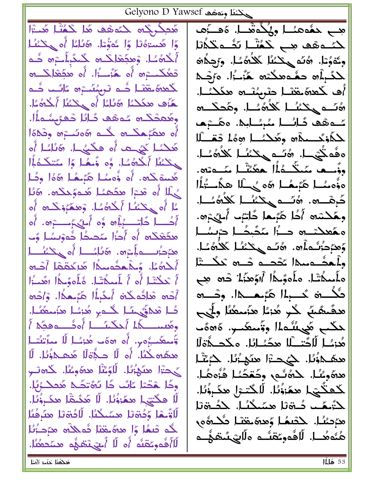Gelyono D Yawsef مَعْمَد بِهِ لِمَعْدَمِهِ جب حقَّقصا ولُحْقَقْطا وَصَنَف مُعِكْرِبُدِهِ لِمَحْمَدِهِ مَا كَمُثْلِ مَحْتَرَا وَا هَسْتِهُنَا وَا غَوْثًا. هَالِمَا أَه حِكْمُلَا لأحمده هب حْكْتْل تَثْمِحْدَاْثَل أَكْدُمُـْا. وْمِجَمْلِكُـدِ كُنْدَبِلَٰتِهِ شُـهِ وثَوْمَا. ۞نَـه حِكْنُنُا لَكْنُهُ ـَـا. وَرَحِكُمْ وَ تَعُكَّــــَةٍ أَو هَنَّـــزًا. أَو هَجَعْلَكَـــرَه للنَّابُلُه حَقَّـه هَذَا الْمُؤْسَرُا. هَ وَجَـ لْكَعِيهَ حَقْلًا هُــو تَوِجِئُكُــْرَهِ ۚ كَالَّـبِ هُــو أُف كُعدةَ حَتْسًا حِبْنِيْسُد مِكَحْسًا. هَّزَفَ مِكْلِمًا هَالِمَا أَوْ حِكْمًا أَحْلَامًا. هُنَــهِ بِكُنْنُــا كَلاُهُـُــا. وهَٰحكَـــه وهُدمْكُلُو عُوهُد ثَالُل دْهُمْيِشُولُا. ئے ہُف گائے مُرئے ہو. مگترمہ أه معكَنِهك من الله الله عنه ودُمْهَا للأوئب ملأره وهكئها هؤلم تتغسللا هَٰذَا حَيْد أَه فَكَيْهَا. هَٰنُكُمْ أَه ەقەتكىما. «ەئىم يىلگەنىما. حِكْتُلَ أَحْدَّمُنَا. وَهِ وَحَصَّلَ وَا مَتَنَكَّدُواْ وؤُسِيفٍ مَتَنَكَّبُ وَإِلَّا بِعَكِّنْتُ لَمْ مَدْدُهِ . كَسْقَكْلُهُ، أَوْ ذُوسُلُ هُبُمْلًا هَٰذًا وَضُلَّ الْمَنْسَمْكُمْ الْسَرّْهِ مِنْ الْمُمْتِمْ لَسْمَوْهِ يُطْلُ أَو قَدْرًا مِنْهُمْاً مَدْوَجِدْو. وَأَبْل كَبِهْـــه. هُنَـــه حِكْنُــا كَلَاهُ ـُــا. عْلَ أَيْ حَكْسُلَ أَيْحُدُهُ صَلَّى وَجَعَمَ وَحَكَّرَ وَلَا أَي وهَكْسُهِ أَجُا هَبُها جُلْتِبِ أَسْرَبْهِهِ. أَحُـــا حَاتــــُبْلُم وَهِ أَسْهَدَ ـــْمِ . أَه مكَعلاته حبُّ مَكْبِحُا حَبِسُا مَدَّعْكُمَ أَه أَحَرُّا مَّحَجًا خُوْبِسًا وُب وَهْدَمْ الْمُدْكَّرِ مِنْهُ. ﴿ وَالْكُلْمُ الْمُلْأَوَّةُ مِنْهُمْ مِنْ هتود السناس المستورين والمستورين وأحدُّےملا عُدْدے دُے مُلاَّسْا أَحْدَّمُ". وُحْمَعْدُمِعْهُ أَهْرَجُعَهُمْ أَشْرَه مأَسِكَتْلَ. مأَدَوِّسْدًا أَآوَهَنَّهُ ۖ دُرُهِ ۖ مِبْ أَ تَكْتَا أُو أَ لَمِيكُتْلِ. وَٰلَوَيْجُلْ اهْبِأُوا آدَه مْلِدُمْكَة أَحْبَلْا هَبْعَدًا. وْآدُه ئًا قَدْفَهُمَا كُنْ مُرَبِّ اللَّهَ مَنْ اللَّهَ هڤَىڤَىّ كْبِر هُزْمًا هزَّىكْلًا وِلَيْسِي وهُسستُمَلَّ أَحكْنَبُ أَوْثَسُوهِ مَمْ أَ َهْكُمْ هَيْ الْمُسْلَمَا أَوْقُسْتُمْسِ. هُ هُمَّتْ تُصطَبُّونِ أَو هوَبٍ هُذَا لَا سَأَتَتُنَا هُذِـُــلِ لِّلَحْـَـــلَلِ هَجُـُــائِلِ. مكْحـــدُّةِلْلِ مدهَم كُنُا. أَو لَا حَجَّةِلَا مَدعَجْوَنُا. لَا مدهَــدوُنُا. حَيْحَــتْوا معنَحَــزُنَا. حَبَـتْـا جحثْرًا مِنَجْبُنًا. لَّاوَعْنَا مِنْهُوعُنَّا. جَلْمَاتِ هدَهُوِسُلْ. لِهُنُمِي وِكُمْكُمُلْ فُزُوهُلْ. وحًا هَدَمَا مَانَبٍ حَا نَوْسَكُمْ هَٰدَكُمْ!. ِكْـْفِـذُّـيْ ِلِ مِجْزَوُّىًا. اِّلْكُتـْـوْلِ مِدَّـرَوُّىًا. لًا هكْتِي\ مهُرْزُنُا. لَا مَكْتَفَا مكْرِزُنُا. كَبْسَت خُوْثَا مِسْكُنَا. كَخُوْثَا لَّاتُوهَا وَحُدَّةَ لَا مِسْكُنًا. لَّاحُدَّةَ لَا مِنْهُنَّا مرْحِبُنَا. ۖ لِكَنِعُا وَمِدَةً حَتَيْنَا ۚ حُكْدَةٌ مِ لَّكُمْ شَعُلَ وَلَ هُدَهُ عَقَبًا شُمْلِكُوهِ هَرَجَةُنُل هُنُوهُــا. لَلْفُومِـُقْنُــو ولَلْكِلِمُنْقَوْــو لَّاأُهُدومُكَمْ أَه لَّا أُسْيَسْتَكُو مِسْحَمُلًا.

مَحْمُعًا حَبْء ٱلْمَا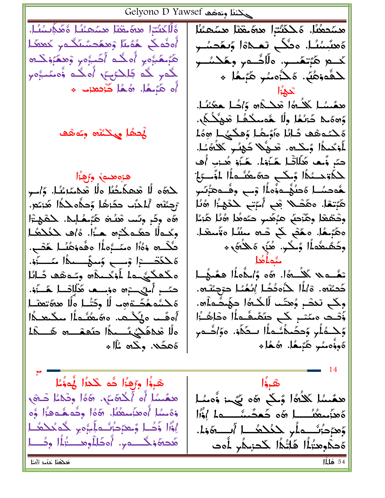Gelyono D Yawsef مَحْمَدُ وَمَحْمَدٍ ةَلَّاكَتُتِرَا هِجَ خَيْلَ هِنَيْهِيْنَا وَهَٰكَلِسْنَا. هسَّحعُنًا. هَ لِكُنَّتِهِ الحَجَّمِينَ السَّمِيْنَا أَەثُملَّى هُمَّىنَا وْمَهُدِسَّىنَگُمْ كَعْمَدَا ەَھسَّىْنُا. ەڭگ تىلاۋا ۇىڭتىئىر هَبْمَبْهِ إِرْهَكُمْ أَكْسِبُومِ وْهِمْبُوْكُلُو ڭىم ھَبْتمَسِن. ەلگۇسەر وھَكْسُسِر لْحُمرِ لَكُمْ جُلِكْمِيمَ، أُمكُمْ وُمسَّيَّوْمر َكَـقُومَٰكُمْ. هَكْرُومُـُو هُزُمْعًا \* أَه هَبُهُلْ. شُهُلْ خَرْجَعَتِبْ \* همَّسُل كَلُّدُّا مْكَــدُه وَاصًا حِعَسُـا. وَههَم حَرْبُهُا وِلًا ـهُمسكُفُـا هُوهُـُـكَى. يحشح وتنكروا أهمني ەَكْتەھْھ ئَالُا ەَرُىھُا وُھِكْيُا ھەمْ لَمُوَكَّدِهُا وَّحْدُهِ. شَـوْيُلا كَوْسُرِ كَلاَهُ صَال حمّ ذُها هَٰلَاتْ الصَّزْفِا، هَـٰٓئُو هُــٰٓئِ أُف للكَاوَنَ عَادًا وُلِكُنَّ دِهَ حَفَيْدَا الْمُؤْسَنَةِ ۖ فزوهمو وزُقِزًا ـمُّەھسُــا ەَھەُشُــەۋْەلُمُ ۋىــى وڤــەھرُ*نىُ*ر رْحِىْلَه ٱلْمَدَّى حَثَّاهُا وَحِدُّهِ كَلَّا هَٰنَكُمْ. هَّتِمْا. وهَشْما هُم أَعَتِ حَدْمِةُ! هُنَا وكفعْدَا وكَّرْحَبُ هَزْهُسِ حَدَهُدَا هُنَا هَٰزَعًا هُه وَكَرٍ وِنَبٍ هَدُهُ هَزَيمُامِهِ. كَمْهَنَّةَ وكَدالًا حكَدكُرْه هـزًا. هُ/ف للحُلْعُة ەھَبُعْلا. ەھَتَى كَى تَــە مىشًا ەۋمىھَـا. وِكَشَّعْمَاْ وُحِكْرٍ. هُنِّي هَلْاُهَى ﴾ تَكْــــرَه وْدُا مِمّـــرُها ا مِقْدوْتُسَــا ــمّـْــــى. هَكَدَّسْتَ إِنَّ وَسَهَّسْتَمَا سَنَّزَوْ. تَعْــد لا لللّــة!. هَء وُالثَّاه اللَّهُ عَمَدُ ل مكْعَكْبُهُما لِمُوْكَسِلَاهِ وِسُمِعْعَهِ ثَـالُا كَتْنْدُه. ةْالْمَا لْجُوْدُكُمْ إِنْعُمْا حَرْجِنْنُـه. حمَّــر أُسنِّــرْه وفِـــم هَـٰلِكَـــل هَــزُوْ. هَكْسُمْهُكُــتَمِهِ لَهُ وَكُتُــل وَلَهُ هَدَّةَ تَعْشَــل وكُم تَحْصَرِ وُهتَّب لَّاحُدُهُ! حَهَّىضُمْلُرُه. أَهِقَب وَيُذْهَب وَهَيْشُواْ مِكْتَعَدَاْ ذَٰٓتَـت مَمَّتَـمٍ كَبِ حَبِّصَفُـماً ا مَـْاهُــ;ُا دَلَّا شَهْفَكَيْتَ الْمَسْتَرْكَفْهُ وَالْمَ وَحْـــمُلُرٖ وَحصَّـمُّــُـملُّا سطَّلَوۡ. وَوُاصَّــور |ەوۋەمئىر ھۇمگا. «ھُڪا» ەَھكُلا. وِكْلَّهِ ݣَالْ َّهْبِوُّا وَرُهِزًا هُم كَكْدًا هُموُّمُا ۖ ۿڔۏؙٳ همُسُا أَه أَكْتَهَجٌ. قَاهُ وَثَمْنًا شَتَى همَّسُل كَلاُهُ! وُحَكِّ هُو سُجِّ وُوسُل وَهُـسُا أُهْمَـزُمِـمَعُنُا. 3% وَشُمَـهُـهِ فَـزَا وُه هَ هَذَه هُمُ اللَّهُ وَ هُمَّصُبُّ ـــهُ الْمُوْا إِوَّْالَ وَكَلَّا وَعِمْرَدُوْنَــدِيَّاءِ وَمِنْ الْكُمْخَلَامَـٰلِ مَحدَّوفَكُــــــمر. أُوحَالُمُوهــــــتُزَلُّلُ وحُــــــــل هَٰحِدٛوهتُمُا ۖ هَاتُكُما ۖ كَحَنِـكُم ۖ أَهِ تَ مَحْفُلُ حَرَّء ٱلْأَمَّا 54 هَ**اياً ا**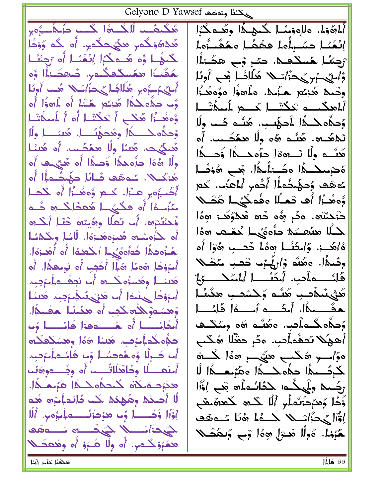Gelyono D Yawsef مَعْمَدُ بِمَعْدِ مَكْتَمَّت لَّاجْدَةُ كَتْتَ جَبْجَتْ بِهِ أَمْاهَٰذِ. وللوذِسُما كُمِهِيهَا وهُـوكُمْ! مَٰٓدُہٗوَحُدُو ٖ مَدۡکِیۡدِکُوہِ ۢ اُو ۖ خُدۡ وَوۡدَٰا إنْهُنَا حسَبِلُما هِھُڪَا مَعَقَــزُما لْحُلُّهُا وَّه هُــهكُرُا إِنْعُنُـا أَه رَحِسُـا *أوْمُلُ*ا هُسْكُدْهُ. حَبْ وْبِ هَخَّزْلُهُ! هَقَّدًا مَعَسَّكُمْ مِنْ شَهْشَوْاً وَهُ وَّاسِّكِ بُنِ كَمَانُكُمْ هَٰكَلاَهُ لِهِ تَعَلَّمَ وَمِنَا الْمَجْمَعِينَ أَوْمُلَا أَسْرَحِ جَوْمٍ هَٰلَاجُاحِجِجَّٰامُكَلا هَب أُوِنُا وصْحِ هَٰزِعُم هِنَزِحَا. وَأَهْوَٰا وَوُوهُـٰٓا وًٰٮ حذَّہ حَکْدًا هَٰٓ; َمِّنَ هُـُـٰٓ; لَهُ عَلَىٰهُ أَنْ أَهُ ألمعكسه تمكشا كسع أسأشا وَْوَهُدُوا هَكَبِ أَ تَكْتَبَلَ أَو أَ لَمُعَاَّشَا وَحِدُّهِ حَــٰهُا أَحَهَّــبٍ. هَنَّــه كَــب ولَّا وْحِذُهِ حَـــدًا وْمْحَهّْنُـــا. مَّنْـــا وِلْا تَكْمُدِهِ. هُنْدُ هُو ولًا هِمُحَسَبٍ. أَو مُعطِّيحٍ. مُعبًا ولًا محمَّحُـبٍ. أو مُعبًا هُنُــه ولًا تــــ90 حرّهكــــدًا ذُكـــدًا وِلًا هُوْا حِزْمِكِمًا ذَحِكًا أَو مْتَيْحِفٍ أَو ەَحْبِىكْــدا ەكْــزلَمْدا. بْمَـــ ھُوْئَــا هُزكَـــلا. عُــوهُـف كَــابُل حَهُبَكُــولُمْ أَو عَاهْدُ وَحَكِّيثُمَاْ الْأُشُورِ ٱلْمَدَّى. كَتَرَ أَكْسِبُومِ عِبْزًا. كَلِمْ وُوهُدُرًا أَو كَحَلَّا وُوهُـزًا أُف ثَـعـُلا وفَوكُـُـلِ هَٰتَــلا مَنْزَحَهُ! أَو قَكَنِيَ المُعْقَلِكَ وَ قَدْ دَّئِكْتُمْ. وَكَرِ بِهُو دُهِ هُكُوَّهُدَ مِوَّا وْحِنْتُمْ». أَمَّا تَعَلَّا وَهُيْتُهِ خَيْاً أَجْدُه لأه بصفة لمرؤهأه ممتحنه المك أَه كَزُوسْيُو هُيَوْهَدْوَا. لَاسُلْ وَكَلِمْسَا هُ/هَـــز. وُ/حَنُــا هِهُا حَصــبِ هُوٓا ﴾ُه هُـزُّهِ صِدًّا هُـوَزُووُيُـا أَنكَـعِـوَا أَو أَهْـزَوَا. وضَّـٰهٗاً. ەھَنُّە ۋَارۡهُـُبُّـَ تَـۡصَبِ مَنْصُـٰلا أُمَرُوْحًا هَمَا هَاْا أُحَمِّ أَه يُرحِكُا. أَه فَانْــــــماْدب. أَمذَنْـــــا ٱلمَـكـــــــرَلَىٰ هُلسُلُ وهُسرُه كُلُّـــهِ ﴾ًا يُوهُـــه أُمرُضٍ. هَنْ مُمْأَنب هُنُـه وُلِمْسْنب هِنُسُـٰل أَسْرَوْحًا ﴾ لَمَا أَمْنَى الْمَدْرِ الْمَرْكِينَ أَحْبَدُواْ مِنْ الْمَدْرِ الْمَوْتِدَةِ مِنْ الْ هدَّـــــــداً. أَحدُــــد أحــــدا فَائــــا وْهِسُووْ لِلْأَمِكْمِينَ أَوْ هِجْبَتُنَا الْمَقْبَحُوا. ۇچلەمگىملەت. ەھَتُم ھە مِمَكْت أَبْدَٰلَـٰـٰ ۖ أَه ۚ هُـَـــٰهُ وَٰٓ ۚ وَٰٓ وَٰٓ وَٰٓ وَٰٓ وَٰ أَههَٰلا تَعفُمْأَصِ. وَضَ حَقَّلًا وَهُكُب حَدُّه كُم أُمِّصٍ. هَٰننا هَهُ أو هَسَكَعَلَاتِهِ أَمَا كَــرْلَا وُهِـهُوصُبُــل وُمَا فَالْسُولُمَ صِبْ. ەۋاسىر شكىب ھۇس ھۇاڭىغ أَمنَعَــــلَا وَحَاهَـٰلَاتَــــب أَه وقُــــووهَنَب كْرِكْـــماْ حِدّْهِكْــدا هِكْبُــْـمَــاْ لْل هَذَهِ دَمَكْتُهُ حُمْدُهِ حَدَمًا هَٰهُ مَمْلًا. رَجَّـه\$ وِلَمِيكُـهِ! كَخَائَـهِ لَهُ هَي إِوْٱلْ لًا أَصنَكَ وعُهِكُمْ كُبِ قَالَهَ أُبْرَه هُـه وَّدًا وَهرَدَّانُداً وَ ٱلَّا كَلِّهِ كَعِنهَ هُبَ ِاؤُاْا وَٰحُــــا وَۡٮ مَرۡحَزُنُــــــه اِۢ ـِٓءُوبِ. ٱلۡا إِذًا يَحْزَاتِكْ لِحَسَنَةَ مِنْ الْمُحْمَدِينَ الْمُحْمَدِينَ لخيجة انتسلا لخيشت منصوصه هَيُوْمًا. هُولًا هٰدَرَا هِهُ أُوْبٍ وَيَحَصَّلَا همَّزْوَيْكُمْ. أَهْ وِلَا هُجْوَ أَهْ وِهُعَضُلًا مَحْدُمُا حَرْء ٱلْأَمَا 55 هَل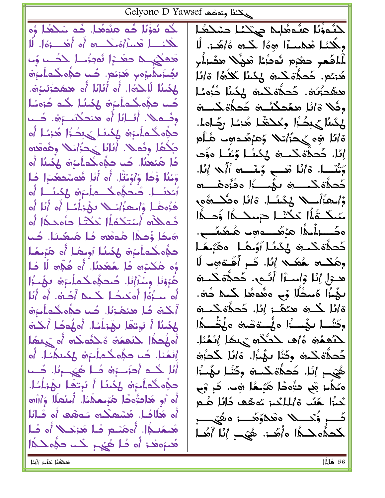Gelyono D Yawsef مَعْمَد بِهِ لِلْمُنْكُلُومِ وَسَلَمَتِكُمْ الْمُنْكُلُومِ وَسَلَمَتِكُمْ وَسَلَمْتَه لَّكُمْ ثُوزُلًا هُمْ هِنُوهُمْاً. هُمْ شَكْعُلْ وُه لحنٌدوُنُا هنُدهُرابِه حيكْسًا حسْكَمًا. لَكْتُبِ الْعَيْبَاءَ مَكْنَ وَالْمُحْسَنَةُ لَلَّهِ الْمُحْسَنَةُ لَلَّهَ ولَكْنُا مْكْسِرًا هِهَا كُنْ هُاهُمْ: لَا قعككه حقـْءَا نُودُك ككُــا وُب لْمُلَّعُمِ حَمْدٍهِ ۖ ثَدْتُنَا شَهْلًا مَثَىٰٓٓٓہٰمُو لِمُذَٰىٰذُہُمْ وَاللَّهُ مِنْ مِنْ مَدْمَنَا مِنْ مِنْ مِنْ مِنْدَمِنَ هُزِيَمٍ. حَجِدٌّة كَبِيرُ لِكَيْبًا لَكَلُّهُ! وْالْمَا لِكَينًا لَالحَوْا. أَو أُنَائِلَ أَو هِيعَجزَنَيْرَةِ. مدهًدُنُهُ. كَحِدّْة ݣُدهُ لِكُنا كُزُّه عَلَّ كَتْ جَوْهِكُمْلُمُوْهُ لِمُحْتَالِ كُنْهُ جُوْمَنَا ۖ وثَلا ةَابُل معَمَكْسُــة حَمدُّة كَـــة وضَّـٰه&. أُنْـالُا أَه هنَجكُنْـــرَة. حُــب لْمَمْلَى بِحُبْرًا وِحُكِّفْ هُزْسًا رَجَّاهِ لَهُ . حَذُّه حَدَّمَا مِنْ الْمَحْمِدِ لِلْمَحْمِنِ مَهْدَا مَعْ مَاءِكْمِ أَهْ ةَامًا وَهِ كَحَدَّاتِكَ وَعَزْهُدُوفَ هُنَّاهِ صَحْعًا وضَعِيهِ. أُنائل حَجَّةُ مِنْ وَهُوهُدِهِ إِبُل. حُحِدَّة كَــــة لِمَـنُــل وَّنُــل هَوَٰت مَا هُنَعنا. حَبْ حَذِّه خُماُءَةَ لِحَينَا أَه وَتْنَسْسًا. ةَ/مُا هُسْبِ وُسْسَدَهِ أَأَيْلا إِمُا. وَعُنُا وَٰحًا وَٰاٰوَعُتْاً. أَه أَنَا هُدمشحعَنبْ إِحَا كَحِدُّة كَمِــــة بِهُمِـــزُا وَفُزُوهَـــة أَمَدْتُــا. حُتْحَذُه كُـــمأْتَرَةَ لِكَتْتُــا أَهْ وًا معنَّ السلام لِمَسْل وْالله معْلَمَة مِ هُزُوهُـا وُٱحعُزُانَـــلا لِهُـزِـلَٰنـَا أَو أُنَا أَو سَكَّةُ أَلَّ تَكْتَبَا حَبِيكُمَّا وَجِمْلَهُمْ الْمُحَمَّا ضُمِيحِثُو أَسْتِكْمُلُل تَحْتَبَلِ حِزْوَجِجُلٍ أَو ەكسىزلاملا ھۇھىسمھە ھىھىئىب. هَٰىحًا وَحِدًا هَٰءهُدِه مَا هَٰىعَىنَا. مَبِ كَحِدَّة كَسِيرة لِمُنْسَلَ أَوُسِكُمْ وَهَبَّسِهْل حَدُّه جُدمًا مَرَةَ الْمَحْسَلَ أُوحِكُمْ أَنَّهُ حَرَّمَهُمْ وهُكْده هُهَكَد إِنَّا. كَمِ أَهَّـٰةَ هِـَ لَّا وَّه هُكْتَرَه مَا هُعَدْنَا. أَه هُدَّه لَا مُا هجل إِنَّا وْامِسْرًا أَنَّــهِ. خَحِذَّة كَسْخَة هُمْوْنُا وِسُأَرُبُلْ هُبِحِيْهِ كُمَاِّيَوْهُ بِهَيْدَا بِّهُنَّا هُيجُّلًا وَبِي مِعْمِعُلِ كَبِيهِ جُثِهِ. أَه سِنُوَا أُوكِيضًا لَكِيمَ أَضَٰوَ. أَوْ أَبَلَ ة/يُا لِحْسِنَ مِنصَّعَ إِيَّا. حَصَفَّة كَسِينَ أَبْكَرَهُ مُا هَيَعُـزُلُ. مُـب حَيُّوجُـمأَنِّرَة لِحَمْلَا أَ يُبِتقَا بِهُنْمَا أُولُوصُا أَبْكُنَ وكَتُــا بِكَيْـــزُا وِيُـــتَوْصَبُو وَيُشْـــدُا الضررَ هأ مكَ مِكْمُ مَحْمَدَ الْمَعلَمَ أَ لْمَنْعَمُةِ هُ/فَ لَكُنْكُمْ كَاهُ الْمُمْلَلُ إِنْعُنَا. حَبَّ حَذِّهِ كَـْمَأْجَرْهَ ۖ لِكَـٰتِكُـنَا. أَه حُحِدُّة كَـده ۖ وكُتُل بِهُـبُـٰا. ۚ وَٰالُمْ لَكَحَبُرهَ أَمَلَ كُنْ أَحَزَنَهِ وَ اللَّهِ الْمَحْسَنِ اللَّهُ وَ اللَّهَ وَ اللَّهَ هُيْبِ إِنَّا. حَحِمّْة كَسْنَة وِكَتُمْ بِهُسَزَا حَدُّه جُملُحَ مَ الْمَحْسَلِ لَمْ يَحْقَلُ فَلَمْ يَخْفَلْ لَهُ مِنْ الْمَسْرَاتُ الْمَرْوَاتُ الْ هَكُلُّ: بْعِي حَتَّوَهَا هَبَيْعًا فِي. كَرْ وَبِ أَه أو هَادَتُوهَا هَرُحِكُمُا. أَحتَعَلَا وَٱاللهَ كْتُرَا هَنَّتْ ةَالْمُلَكْتْ شَاهْفْ دَّابُلْ هُـعْ أَه هَٰلَاحُـا. هَنْتَعَبْدُه سُوْعَهِ أَه صَٰلَٰل هُنمُنَـٰمُا. أُوهَنَـٰع مُـا هُزَجَـٰلاَ أُو مُـا كْحِدّْهِ حْـِدًا هِ/ْهَــز. هُيْبِ إِنَّا أَهْــا هُدَءِهُدَ أَه صُل هُجَيءٍ كُب حَذٍّهِ حَكْمًا

مَحْمُعًا حَبْء ٱلْمَا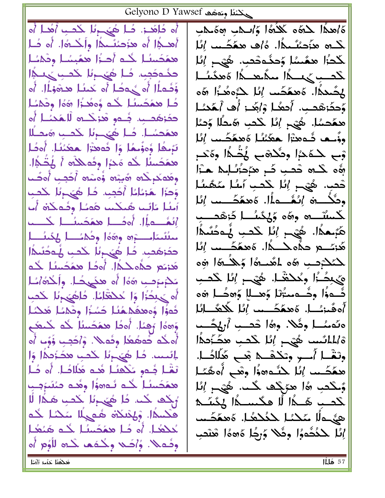Gelyono D Yawsef مَعْمَد بِهِ الله أَه فُاهَدٍ. فَـا هُيَــِ مَا كَفِي أَهْـا أَه ة/هِدْا لِحْتَى كَلَاثَهُ! وَإِسْلَابِ هِمَكْتُ أَهْلُوا أَه هزَجِئْسُمَا وأَكْلَوُا. أَه صَلَّ لكَّده هزَّجِئْتُـبِدًّا. هُ/ف هِمَّجَـبِيب إِنَّا معَصَسُل كُـه أَصِرُّا مِعْبِسُلٍ وَذَٰلِكُلِّ لْكَحْزَا هِمُسُلْ وَحِدُّءِحْدِ. هُيْ إِنْلَ حَدَّدَمِينَ مِنْ الْمَحْرَمَانِ مَنْ الْمَسْرَبِينَ مِنْ مَنْ الْمَسْرَةِ مِنْ مَنْ لَحْصِبِ يُعَامَلُهُ الْمَسْرِيِّ بِمُسْتَكَرِّ الْمُسْرِرِّ بِمُسْتَكَرِّ وَٰدُّعاًا أَن يُحصُّل أَن يَحْسُل هَـرْوَا أَنْ أَن لِمُعِكْلِ هُعِمَّكُت إِنَّا جُرُوهُـٰٓ;ا هُو صًا معمِّصَسًا لَكُمْ وُوهُدُوا وَوَا وَحَمْدًا وَحدَّ:هْحبِ. أَحمُـا وْاهَـ: أَهِ أَهْدُـا حَفَرْهُمِبٍ. فُءو قَدْرَكُمُ لَلْهُدَيْنَ أَه هِمُحِسًا. هُيْمِ إِنَّا كُتْبِ هَيْجَلًا وَجِبًا همُحسًا. قُبا هُيُبِرْنَا لَحْصِبِ هَيْصَلَا وؤَسِعًا شَاهِتْزَا حَقَنْتُنَا ةَهَجَّسَتَ إِثْلَ تَبْعَٰلَ وُوَفِّـهُا وَا ثَـْ0َعَـٰٓرَا ۖ مَعَـٰئِنًا. أَوضُلَّا وْبِ لِكُمَّدٗ! وِثَلادَى لُخُّدُا وَهَنْدِ. همَحُسنًا ۚ ذُه مَدْا وِثَمِهِ ۚ أَ هُتَٰذًا. رةً و حَده حْصبِ ضَرِ مِحْرَمُنْ لِمِمْ هَـزَا وهُدَكَرِكُلُهُ شَبْنُهُ وُدَعْلِهِ أَكْمِي أُدَكَّت حْصِبِ. هُيْبِ إِنَّا خَصْبِ آمِنًا مَحْشَمْاً وَحَزَا هَٰٓٓٓٓہٗٓامٗا ٱخۡمِید کَل ہُیۡہِنَا ۖ کُحبِ ودُكْــــة إِنْـقُــــدلَمْا. هَـمْـمَّـَـــــب إِنْـل أملًا عَالَـــا هُــكَـــا هَــْــا وضّــاحَــه أَــا إِنْمُــوَإِلَى أُوضُــا مَمَّضَينُــا كَـــب هَبُعِمَا. هُيْ إِنَا حَصِبِ هُءكُنَّمَا ستُسَمَّاسِيْرُو، وَوَوَّا وَكُمْسُلْ لِكُنْسَلْ هُزئِــــم حذْهكـــدُا. هُمحَمَّــــب إِبْل حَمْزَهُمِي. مُا هُيُجِرُلُ كَمِي هُءمُنَيْهُ! لْمَلْتُوْصِبِ 60 لْمُعْسَدُهُ | وَلِلْكُلُّةُ | وَهِ هُزِيَعِ حِذْهِكُمُلِ أُوصًا هِمَجَسِبًا لَكُم هَيْبِكُمُ وَحُكِّشًا. هُيْبِ إِنَّا كَحْبِ مَكْرَمَوْكِ هَٰهَا أَه هَكَيْحُطْ. وأَخْذَهُ اسْلَ ئَــدَوَٰا وِخُــدمِنُوْلاً وَهـــلاً وَهكـــا هَه أَه كَبِحُرَٰا وَا عُكَفَّامًا. فُاهُكِجِرُا لَكَحِبِ أُهڤَىزمُـــا. ەَھمُكَـــىب إِبُّا ـلُاھُـــابُّا دُّدؤا وُدهَهُمْمُنُلْ حُسُرًا وَدْهُنَا هَكْنَا ويُمسُل وثُلا. وهُا تَعب أَرْبُضُت وَهِهَا وَهِمًا. أَوطُ هَمَّحُسُلُ كُم كُنْعَم ة/لملئسب هُيْمِ إِنَّا كُتْبِ هَجَّزَتِهَا أُهكُمْ هُمْعُمُلُ وَثُمْلًا. وْٱخْصِبْ ؤُوُّبْ أَه وتشَّــا أُـــــو وتَكْفَــك بْحَــى هَٰلَاحُــا. لِمَنْسَدٍ. قُلْ هُيُجِرُلُمْ كَلِّصِي هَجَذَهِ الْمَرْأَ وَالْ تَشَا بُءو حَكْفَنَا هُده هَٰلَاضًا. أَه ضَا همَّكَـــد إِنَّا لِكُـدِهوُّا وِتْبِ أُوهَّـدَا همَحُسْنَا لَكُمْ نُمْحَوْا وِهُدْ مِنْتَهِيبِ وَ كَتَبَ 10 مَرَبَّكَ لَكَتَ. هُيْ إِنَّا ہُکُھ گُب، دُا ھُہُجِنَا کُصِبِ ھَـٰٰہَا لَٰا كْحب هَــدُا لَا هكْـسـدًا كِنْسَـد فَكْسِكُا. وْلِحْتَكَةْ هُمِينًا سَكْنَا حُدْ هَيْحِلًا مَكْمُا كَخُلْطُا. هَعْهُكُسَ لْحَكْفَـا. أَوْ ضُلَّا هُمُحُسْنُـا لَكُـو هُنْهُـا. إِنَّا ۖ كَخُصُّوّٗا ۖ وِثَلا وَّرَجُا هَαهُ! هَنْصِ وضَّملاً. وُأَضَّلا وكُنَّفها كُلُّهُ الْأُوْمِ أَه

مَحْمُعًا حَبْء ٱلْمَا